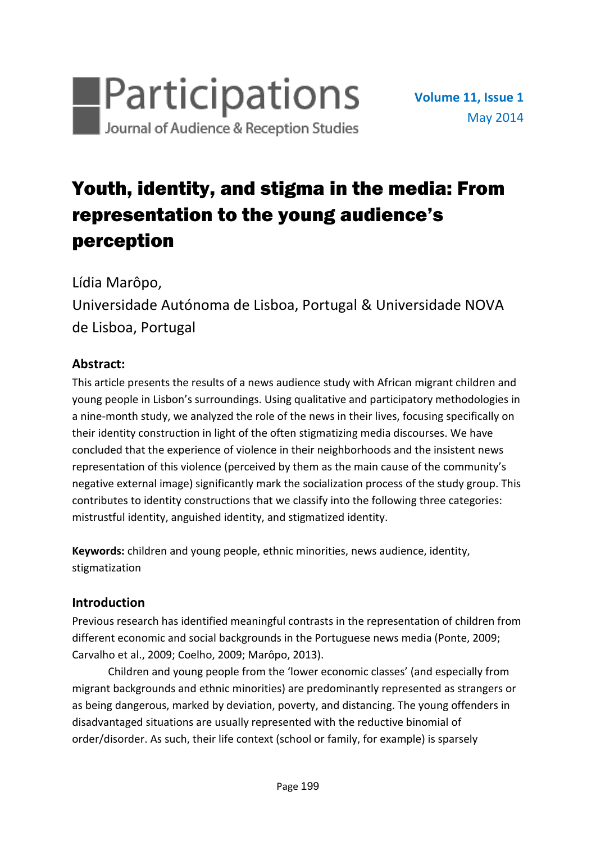

# Youth, identity, and stigma in the media: From representation to the young audience's perception

Lídia Marôpo,

Universidade Autónoma de Lisboa, Portugal & Universidade NOVA de Lisboa, Portugal

# **Abstract:**

This article presents the results of a news audience study with African migrant children and young people in Lisbon's surroundings. Using qualitative and participatory methodologies in a nine-month study, we analyzed the role of the news in their lives, focusing specifically on their identity construction in light of the often stigmatizing media discourses. We have concluded that the experience of violence in their neighborhoods and the insistent news representation of this violence (perceived by them as the main cause of the community's negative external image) significantly mark the socialization process of the study group. This contributes to identity constructions that we classify into the following three categories: mistrustful identity, anguished identity, and stigmatized identity.

**Keywords:** children and young people, ethnic minorities, news audience, identity, stigmatization

# **Introduction**

Previous research has identified meaningful contrasts in the representation of children from different economic and social backgrounds in the Portuguese news media (Ponte, 2009; Carvalho et al., 2009; Coelho, 2009; Marôpo, 2013).

Children and young people from the 'lower economic classes' (and especially from migrant backgrounds and ethnic minorities) are predominantly represented as strangers or as being dangerous, marked by deviation, poverty, and distancing. The young offenders in disadvantaged situations are usually represented with the reductive binomial of order/disorder. As such, their life context (school or family, for example) is sparsely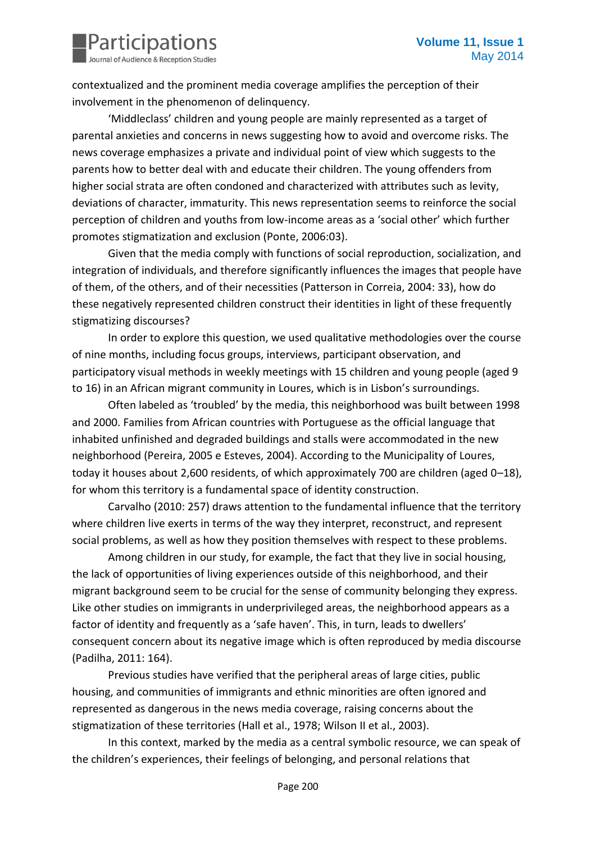

contextualized and the prominent media coverage amplifies the perception of their involvement in the phenomenon of delinquency.

'Middleclass' children and young people are mainly represented as a target of parental anxieties and concerns in news suggesting how to avoid and overcome risks. The news coverage emphasizes a private and individual point of view which suggests to the parents how to better deal with and educate their children. The young offenders from higher social strata are often condoned and characterized with attributes such as levity, deviations of character, immaturity. This news representation seems to reinforce the social perception of children and youths from low-income areas as a 'social other' which further promotes stigmatization and exclusion (Ponte, 2006:03).

Given that the media comply with functions of social reproduction, socialization, and integration of individuals, and therefore significantly influences the images that people have of them, of the others, and of their necessities (Patterson in Correia, 2004: 33), how do these negatively represented children construct their identities in light of these frequently stigmatizing discourses?

In order to explore this question, we used qualitative methodologies over the course of nine months, including focus groups, interviews, participant observation, and participatory visual methods in weekly meetings with 15 children and young people (aged 9 to 16) in an African migrant community in Loures, which is in Lisbon's surroundings.

Often labeled as 'troubled' by the media, this neighborhood was built between 1998 and 2000. Families from African countries with Portuguese as the official language that inhabited unfinished and degraded buildings and stalls were accommodated in the new neighborhood (Pereira, 2005 e Esteves, 2004). According to the Municipality of Loures, today it houses about 2,600 residents, of which approximately 700 are children (aged 0–18), for whom this territory is a fundamental space of identity construction.

Carvalho (2010: 257) draws attention to the fundamental influence that the territory where children live exerts in terms of the way they interpret, reconstruct, and represent social problems, as well as how they position themselves with respect to these problems.

Among children in our study, for example, the fact that they live in social housing, the lack of opportunities of living experiences outside of this neighborhood, and their migrant background seem to be crucial for the sense of community belonging they express. Like other studies on immigrants in underprivileged areas, the neighborhood appears as a factor of identity and frequently as a 'safe haven'. This, in turn, leads to dwellers' consequent concern about its negative image which is often reproduced by media discourse (Padilha, 2011: 164).

Previous studies have verified that the peripheral areas of large cities, public housing, and communities of immigrants and ethnic minorities are often ignored and represented as dangerous in the news media coverage, raising concerns about the stigmatization of these territories (Hall et al., 1978; Wilson II et al., 2003).

In this context, marked by the media as a central symbolic resource, we can speak of the children's experiences, their feelings of belonging, and personal relations that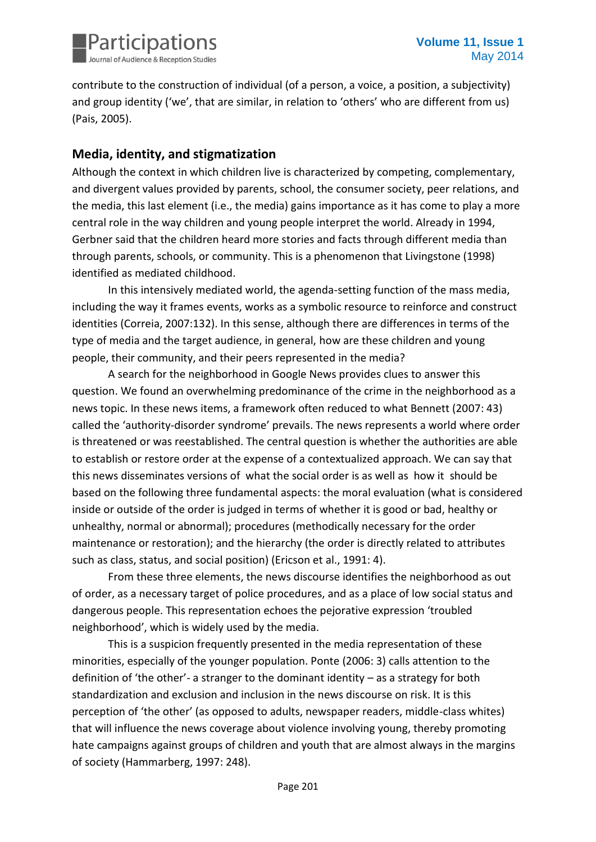

contribute to the construction of individual (of a person, a voice, a position, a subjectivity) and group identity ('we', that are similar, in relation to 'others' who are different from us) (Pais, 2005).

## **Media, identity, and stigmatization**

Although the context in which children live is characterized by competing, complementary, and divergent values provided by parents, school, the consumer society, peer relations, and the media, this last element (i.e., the media) gains importance as it has come to play a more central role in the way children and young people interpret the world. Already in 1994, Gerbner said that the children heard more stories and facts through different media than through parents, schools, or community. This is a phenomenon that Livingstone (1998) identified as mediated childhood.

In this intensively mediated world, the agenda-setting function of the mass media, including the way it frames events, works as a symbolic resource to reinforce and construct identities (Correia, 2007:132). In this sense, although there are differences in terms of the type of media and the target audience, in general, how are these children and young people, their community, and their peers represented in the media?

A search for the neighborhood in Google News provides clues to answer this question. We found an overwhelming predominance of the crime in the neighborhood as a news topic. In these news items, a framework often reduced to what Bennett (2007: 43) called the 'authority-disorder syndrome' prevails. The news represents a world where order is threatened or was reestablished. The central question is whether the authorities are able to establish or restore order at the expense of a contextualized approach. We can say that this news disseminates versions of what the social order is as well as how it should be based on the following three fundamental aspects: the moral evaluation (what is considered inside or outside of the order is judged in terms of whether it is good or bad, healthy or unhealthy, normal or abnormal); procedures (methodically necessary for the order maintenance or restoration); and the hierarchy (the order is directly related to attributes such as class, status, and social position) (Ericson et al., 1991: 4).

From these three elements, the news discourse identifies the neighborhood as out of order, as a necessary target of police procedures, and as a place of low social status and dangerous people. This representation echoes the pejorative expression 'troubled neighborhood', which is widely used by the media.

This is a suspicion frequently presented in the media representation of these minorities, especially of the younger population. Ponte (2006: 3) calls attention to the definition of 'the other'- a stranger to the dominant identity – as a strategy for both standardization and exclusion and inclusion in the news discourse on risk. It is this perception of 'the other' (as opposed to adults, newspaper readers, middle-class whites) that will influence the news coverage about violence involving young, thereby promoting hate campaigns against groups of children and youth that are almost always in the margins of society (Hammarberg, 1997: 248).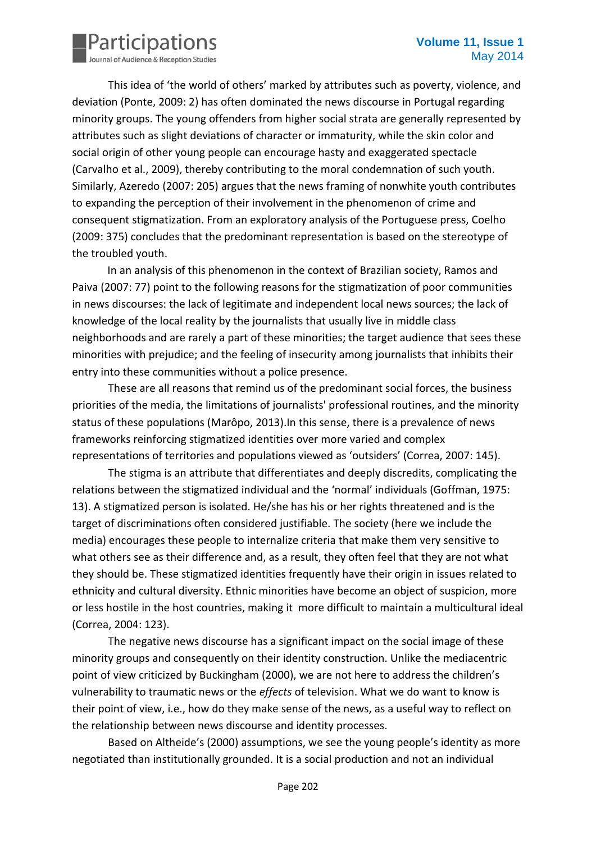

This idea of 'the world of others' marked by attributes such as poverty, violence, and deviation (Ponte, 2009: 2) has often dominated the news discourse in Portugal regarding minority groups. The young offenders from higher social strata are generally represented by attributes such as slight deviations of character or immaturity, while the skin color and social origin of other young people can encourage hasty and exaggerated spectacle (Carvalho et al., 2009), thereby contributing to the moral condemnation of such youth. Similarly, Azeredo (2007: 205) argues that the news framing of nonwhite youth contributes to expanding the perception of their involvement in the phenomenon of crime and consequent stigmatization. From an exploratory analysis of the Portuguese press, Coelho (2009: 375) concludes that the predominant representation is based on the stereotype of the troubled youth.

In an analysis of this phenomenon in the context of Brazilian society, Ramos and Paiva (2007: 77) point to the following reasons for the stigmatization of poor communities in news discourses: the lack of legitimate and independent local news sources; the lack of knowledge of the local reality by the journalists that usually live in middle class neighborhoods and are rarely a part of these minorities; the target audience that sees these minorities with prejudice; and the feeling of insecurity among journalists that inhibits their entry into these communities without a police presence.

These are all reasons that remind us of the predominant social forces, the business priorities of the media, the limitations of journalists' professional routines, and the minority status of these populations (Marôpo, 2013).In this sense, there is a prevalence of news frameworks reinforcing stigmatized identities over more varied and complex representations of territories and populations viewed as 'outsiders' (Correa, 2007: 145).

The stigma is an attribute that differentiates and deeply discredits, complicating the relations between the stigmatized individual and the 'normal' individuals (Goffman, 1975: 13). A stigmatized person is isolated. He/she has his or her rights threatened and is the target of discriminations often considered justifiable. The society (here we include the media) encourages these people to internalize criteria that make them very sensitive to what others see as their difference and, as a result, they often feel that they are not what they should be. These stigmatized identities frequently have their origin in issues related to ethnicity and cultural diversity. Ethnic minorities have become an object of suspicion, more or less hostile in the host countries, making it more difficult to maintain a multicultural ideal (Correa, 2004: 123).

The negative news discourse has a significant impact on the social image of these minority groups and consequently on their identity construction. Unlike the mediacentric point of view criticized by Buckingham (2000), we are not here to address the children's vulnerability to traumatic news or the *effects* of television. What we do want to know is their point of view, i.e., how do they make sense of the news, as a useful way to reflect on the relationship between news discourse and identity processes.

Based on Altheide's (2000) assumptions, we see the young people's identity as more negotiated than institutionally grounded. It is a social production and not an individual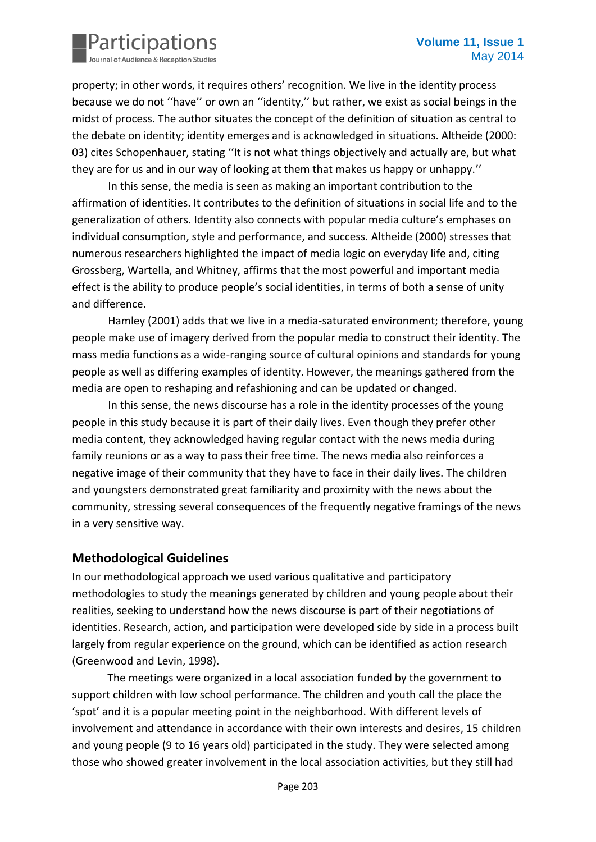

property; in other words, it requires others' recognition. We live in the identity process because we do not ''have'' or own an ''identity,'' but rather, we exist as social beings in the midst of process. The author situates the concept of the definition of situation as central to the debate on identity; identity emerges and is acknowledged in situations. Altheide (2000: 03) cites Schopenhauer, stating ''It is not what things objectively and actually are, but what they are for us and in our way of looking at them that makes us happy or unhappy.''

In this sense, the media is seen as making an important contribution to the affirmation of identities. It contributes to the definition of situations in social life and to the generalization of others. Identity also connects with popular media culture's emphases on individual consumption, style and performance, and success. Altheide (2000) stresses that numerous researchers highlighted the impact of media logic on everyday life and, citing Grossberg, Wartella, and Whitney, affirms that the most powerful and important media effect is the ability to produce people's social identities, in terms of both a sense of unity and difference.

Hamley (2001) adds that we live in a media-saturated environment; therefore, young people make use of imagery derived from the popular media to construct their identity. The mass media functions as a wide-ranging source of cultural opinions and standards for young people as well as differing examples of identity. However, the meanings gathered from the media are open to reshaping and refashioning and can be updated or changed.

In this sense, the news discourse has a role in the identity processes of the young people in this study because it is part of their daily lives. Even though they prefer other media content, they acknowledged having regular contact with the news media during family reunions or as a way to pass their free time. The news media also reinforces a negative image of their community that they have to face in their daily lives. The children and youngsters demonstrated great familiarity and proximity with the news about the community, stressing several consequences of the frequently negative framings of the news in a very sensitive way.

#### **Methodological Guidelines**

In our methodological approach we used various qualitative and participatory methodologies to study the meanings generated by children and young people about their realities, seeking to understand how the news discourse is part of their negotiations of identities. Research, action, and participation were developed side by side in a process built largely from regular experience on the ground, which can be identified as action research (Greenwood and Levin, 1998).

The meetings were organized in a local association funded by the government to support children with low school performance. The children and youth call the place the 'spot' and it is a popular meeting point in the neighborhood. With different levels of involvement and attendance in accordance with their own interests and desires, 15 children and young people (9 to 16 years old) participated in the study. They were selected among those who showed greater involvement in the local association activities, but they still had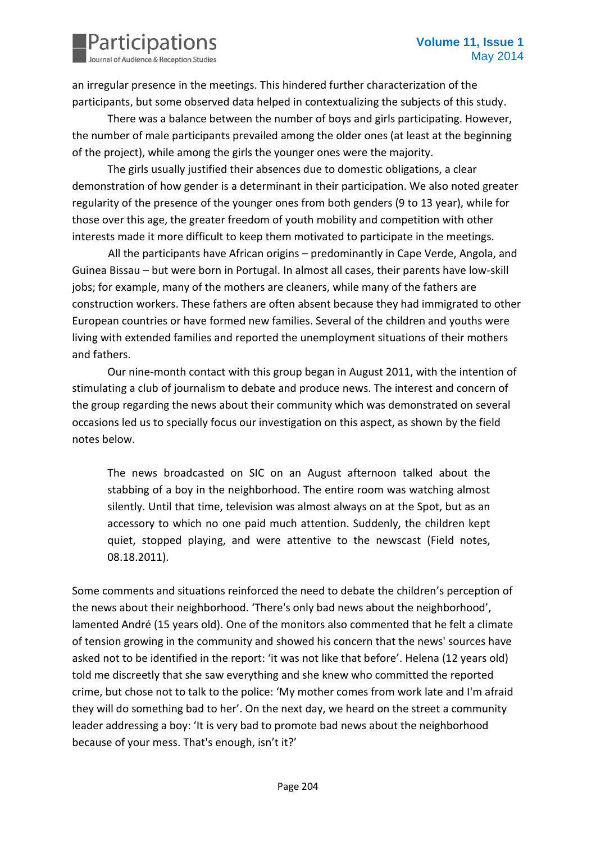

an irregular presence in the meetings. This hindered further characterization of the participants, but some observed data helped in contextualizing the subjects of this study.

There was a balance between the number of boys and girls participating. However, the number of male participants prevailed among the older ones (at least at the beginning of the project), while among the girls the younger ones were the majority.

The girls usually justified their absences due to domestic obligations, a clear demonstration of how gender is a determinant in their participation. We also noted greater regularity of the presence of the younger ones from both genders (9 to 13 year), while for those over this age, the greater freedom of youth mobility and competition with other interests made it more difficult to keep them motivated to participate in the meetings.

All the participants have African origins – predominantly in Cape Verde, Angola, and Guinea Bissau – but were born in Portugal. In almost all cases, their parents have low-skill jobs; for example, many of the mothers are cleaners, while many of the fathers are construction workers. These fathers are often absent because they had immigrated to other European countries or have formed new families. Several of the children and youths were living with extended families and reported the unemployment situations of their mothers and fathers.

Our nine-month contact with this group began in August 2011, with the intention of stimulating a club of journalism to debate and produce news. The interest and concern of the group regarding the news about their community which was demonstrated on several occasions led us to specially focus our investigation on this aspect, as shown by the field notes below.

The news broadcasted on SIC on an August afternoon talked about the stabbing of a boy in the neighborhood. The entire room was watching almost silently. Until that time, television was almost always on at the Spot, but as an accessory to which no one paid much attention. Suddenly, the children kept quiet, stopped playing, and were attentive to the newscast (Field notes, 08.18.2011).

Some comments and situations reinforced the need to debate the children's perception of the news about their neighborhood. 'There's only bad news about the neighborhood', lamented André (15 years old). One of the monitors also commented that he felt a climate of tension growing in the community and showed his concern that the news' sources have asked not to be identified in the report: 'it was not like that before'. Helena (12 years old) told me discreetly that she saw everything and she knew who committed the reported crime, but chose not to talk to the police: 'My mother comes from work late and I'm afraid they will do something bad to her'. On the next day, we heard on the street a community leader addressing a boy: 'It is very bad to promote bad news about the neighborhood because of your mess. That's enough, isn't it?'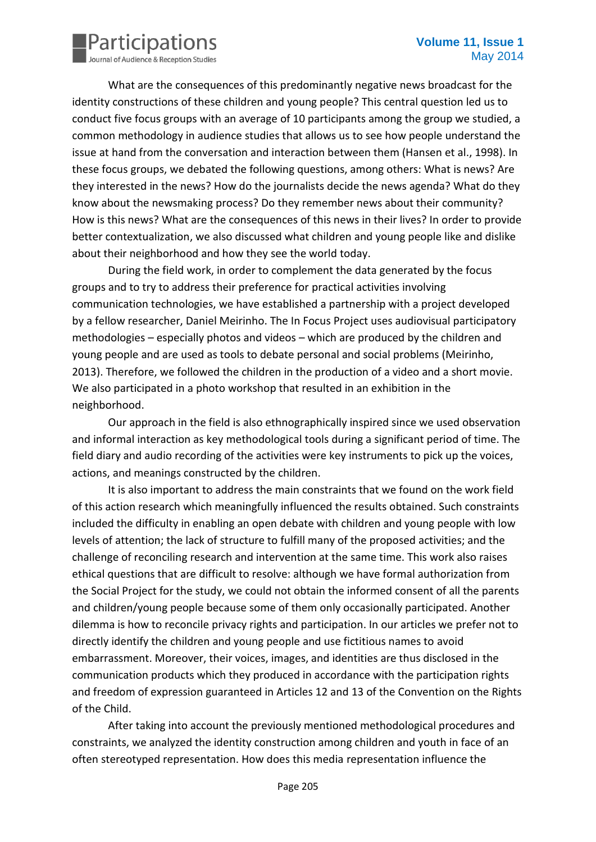

What are the consequences of this predominantly negative news broadcast for the identity constructions of these children and young people? This central question led us to conduct five focus groups with an average of 10 participants among the group we studied, a common methodology in audience studies that allows us to see how people understand the issue at hand from the conversation and interaction between them (Hansen et al., 1998). In these focus groups, we debated the following questions, among others: What is news? Are they interested in the news? How do the journalists decide the news agenda? What do they know about the newsmaking process? Do they remember news about their community? How is this news? What are the consequences of this news in their lives? In order to provide better contextualization, we also discussed what children and young people like and dislike about their neighborhood and how they see the world today.

During the field work, in order to complement the data generated by the focus groups and to try to address their preference for practical activities involving communication technologies, we have established a partnership with a project developed by a fellow researcher, Daniel Meirinho. The In Focus Project uses audiovisual participatory methodologies – especially photos and videos – which are produced by the children and young people and are used as tools to debate personal and social problems (Meirinho, 2013). Therefore, we followed the children in the production of a video and a short movie. We also participated in a photo workshop that resulted in an exhibition in the neighborhood.

Our approach in the field is also ethnographically inspired since we used observation and informal interaction as key methodological tools during a significant period of time. The field diary and audio recording of the activities were key instruments to pick up the voices, actions, and meanings constructed by the children.

It is also important to address the main constraints that we found on the work field of this action research which meaningfully influenced the results obtained. Such constraints included the difficulty in enabling an open debate with children and young people with low levels of attention; the lack of structure to fulfill many of the proposed activities; and the challenge of reconciling research and intervention at the same time. This work also raises ethical questions that are difficult to resolve: although we have formal authorization from the Social Project for the study, we could not obtain the informed consent of all the parents and children/young people because some of them only occasionally participated. Another dilemma is how to reconcile privacy rights and participation. In our articles we prefer not to directly identify the children and young people and use fictitious names to avoid embarrassment. Moreover, their voices, images, and identities are thus disclosed in the communication products which they produced in accordance with the participation rights and freedom of expression guaranteed in Articles 12 and 13 of the Convention on the Rights of the Child.

After taking into account the previously mentioned methodological procedures and constraints, we analyzed the identity construction among children and youth in face of an often stereotyped representation. How does this media representation influence the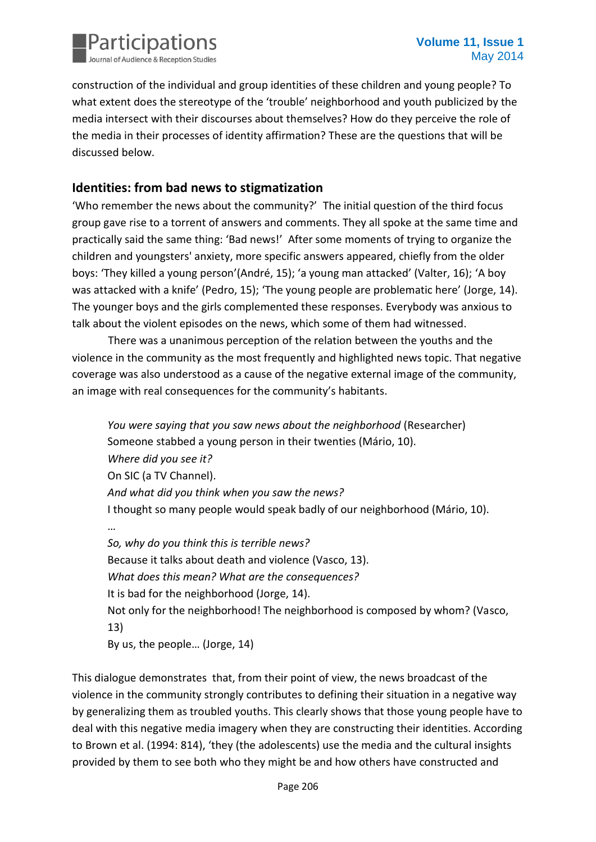

construction of the individual and group identities of these children and young people? To what extent does the stereotype of the 'trouble' neighborhood and youth publicized by the media intersect with their discourses about themselves? How do they perceive the role of the media in their processes of identity affirmation? These are the questions that will be discussed below.

## **Identities: from bad news to stigmatization**

'Who remember the news about the community?' The initial question of the third focus group gave rise to a torrent of answers and comments. They all spoke at the same time and practically said the same thing: 'Bad news!' After some moments of trying to organize the children and youngsters' anxiety, more specific answers appeared, chiefly from the older boys: 'They killed a young person'(André, 15); 'a young man attacked' (Valter, 16); 'A boy was attacked with a knife' (Pedro, 15); 'The young people are problematic here' (Jorge, 14). The younger boys and the girls complemented these responses. Everybody was anxious to talk about the violent episodes on the news, which some of them had witnessed.

There was a unanimous perception of the relation between the youths and the violence in the community as the most frequently and highlighted news topic. That negative coverage was also understood as a cause of the negative external image of the community, an image with real consequences for the community's habitants.

*You were saying that you saw news about the neighborhood* (Researcher) Someone stabbed a young person in their twenties (Mário, 10). *Where did you see it?* On SIC (a TV Channel). *And what did you think when you saw the news?* I thought so many people would speak badly of our neighborhood (Mário, 10). … *So, why do you think this is terrible news?* Because it talks about death and violence (Vasco, 13). *What does this mean? What are the consequences?* It is bad for the neighborhood (Jorge, 14). Not only for the neighborhood! The neighborhood is composed by whom? (Vasco, 13) By us, the people… (Jorge, 14)

This dialogue demonstrates that, from their point of view, the news broadcast of the violence in the community strongly contributes to defining their situation in a negative way by generalizing them as troubled youths. This clearly shows that those young people have to deal with this negative media imagery when they are constructing their identities. According to Brown et al. (1994: 814), 'they (the adolescents) use the media and the cultural insights provided by them to see both who they might be and how others have constructed and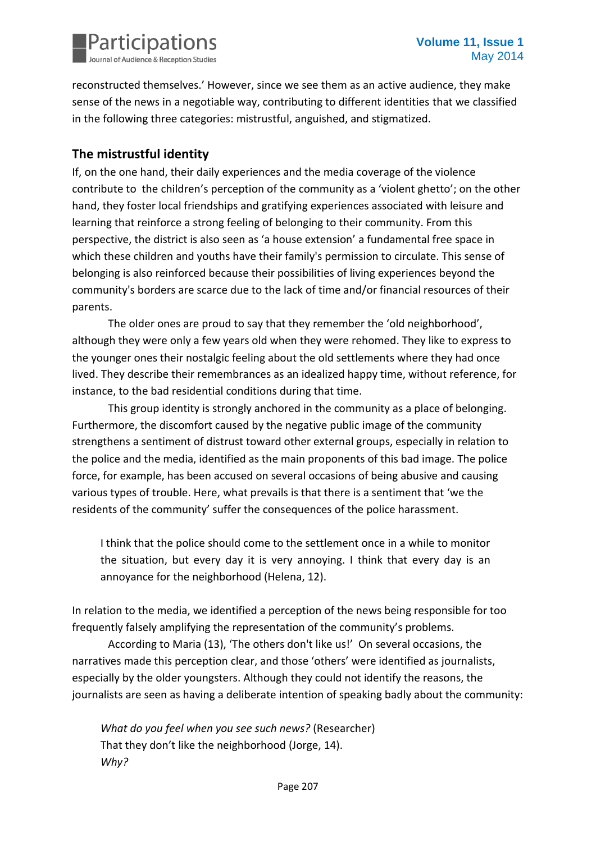

reconstructed themselves.' However, since we see them as an active audience, they make sense of the news in a negotiable way, contributing to different identities that we classified in the following three categories: mistrustful, anguished, and stigmatized.

#### **The mistrustful identity**

If, on the one hand, their daily experiences and the media coverage of the violence contribute to the children's perception of the community as a 'violent ghetto'; on the other hand, they foster local friendships and gratifying experiences associated with leisure and learning that reinforce a strong feeling of belonging to their community. From this perspective, the district is also seen as 'a house extension' a fundamental free space in which these children and youths have their family's permission to circulate. This sense of belonging is also reinforced because their possibilities of living experiences beyond the community's borders are scarce due to the lack of time and/or financial resources of their parents.

The older ones are proud to say that they remember the 'old neighborhood', although they were only a few years old when they were rehomed. They like to express to the younger ones their nostalgic feeling about the old settlements where they had once lived. They describe their remembrances as an idealized happy time, without reference, for instance, to the bad residential conditions during that time.

This group identity is strongly anchored in the community as a place of belonging. Furthermore, the discomfort caused by the negative public image of the community strengthens a sentiment of distrust toward other external groups, especially in relation to the police and the media, identified as the main proponents of this bad image. The police force, for example, has been accused on several occasions of being abusive and causing various types of trouble. Here, what prevails is that there is a sentiment that 'we the residents of the community' suffer the consequences of the police harassment.

I think that the police should come to the settlement once in a while to monitor the situation, but every day it is very annoying. I think that every day is an annoyance for the neighborhood (Helena, 12).

In relation to the media, we identified a perception of the news being responsible for too frequently falsely amplifying the representation of the community's problems.

According to Maria (13), 'The others don't like us!' On several occasions, the narratives made this perception clear, and those 'others' were identified as journalists, especially by the older youngsters. Although they could not identify the reasons, the journalists are seen as having a deliberate intention of speaking badly about the community:

*What do you feel when you see such news?* (Researcher) That they don't like the neighborhood (Jorge, 14). *Why?*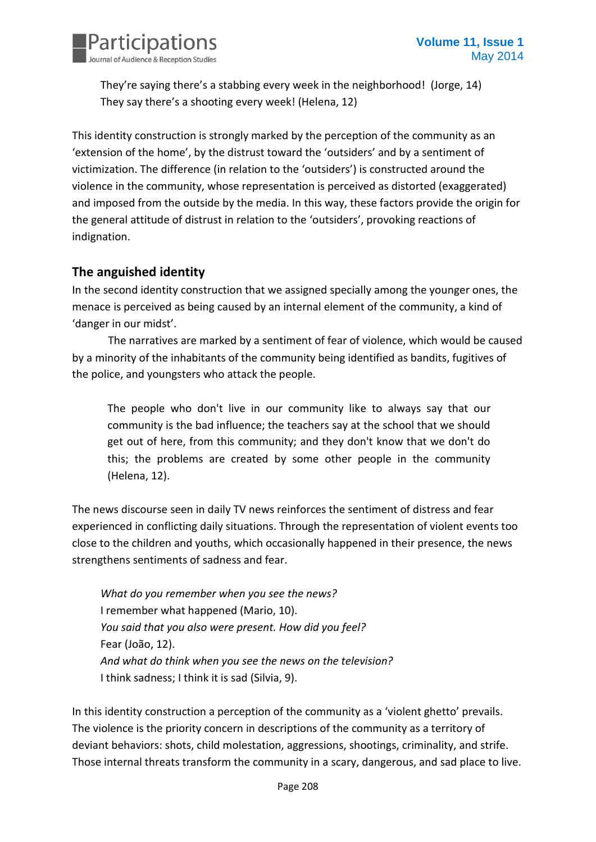

They're saying there's a stabbing every week in the neighborhood! (Jorge, 14) They say there's a shooting every week! (Helena, 12)

This identity construction is strongly marked by the perception of the community as an 'extension of the home', by the distrust toward the 'outsiders' and by a sentiment of victimization. The difference (in relation to the 'outsiders') is constructed around the violence in the community, whose representation is perceived as distorted (exaggerated) and imposed from the outside by the media. In this way, these factors provide the origin for the general attitude of distrust in relation to the 'outsiders', provoking reactions of indignation.

## **The anguished identity**

In the second identity construction that we assigned specially among the younger ones, the menace is perceived as being caused by an internal element of the community, a kind of 'danger in our midst'.

The narratives are marked by a sentiment of fear of violence, which would be caused by a minority of the inhabitants of the community being identified as bandits, fugitives of the police, and youngsters who attack the people.

The people who don't live in our community like to always say that our community is the bad influence; the teachers say at the school that we should get out of here, from this community; and they don't know that we don't do this; the problems are created by some other people in the community (Helena, 12).

The news discourse seen in daily TV news reinforces the sentiment of distress and fear experienced in conflicting daily situations. Through the representation of violent events too close to the children and youths, which occasionally happened in their presence, the news strengthens sentiments of sadness and fear.

*What do you remember when you see the news?* I remember what happened (Mario, 10). *You said that you also were present. How did you feel?* Fear (João, 12). *And what do think when you see the news on the television?* I think sadness; I think it is sad (Silvia, 9).

In this identity construction a perception of the community as a 'violent ghetto' prevails. The violence is the priority concern in descriptions of the community as a territory of deviant behaviors: shots, child molestation, aggressions, shootings, criminality, and strife. Those internal threats transform the community in a scary, dangerous, and sad place to live.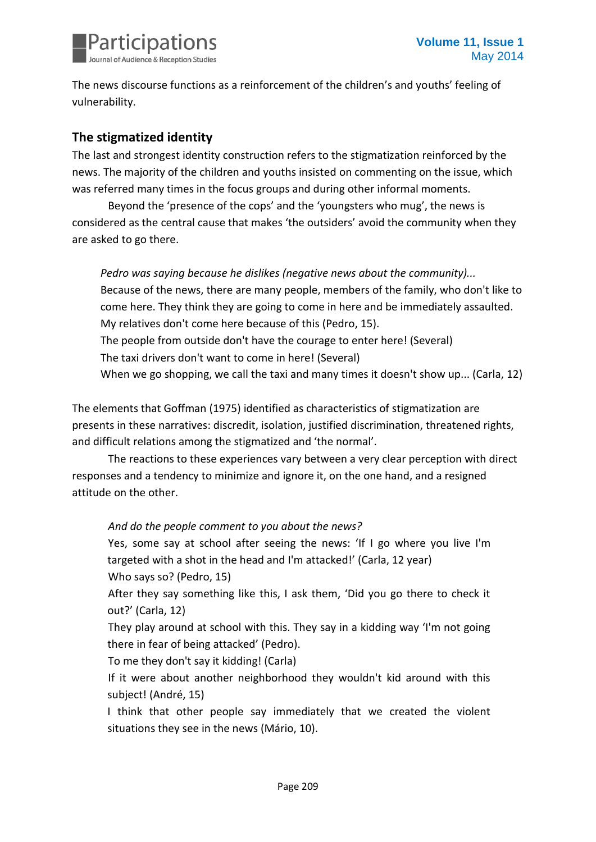

The news discourse functions as a reinforcement of the children's and youths' feeling of vulnerability.

## **The stigmatized identity**

The last and strongest identity construction refers to the stigmatization reinforced by the news. The majority of the children and youths insisted on commenting on the issue, which was referred many times in the focus groups and during other informal moments.

Beyond the 'presence of the cops' and the 'youngsters who mug', the news is considered as the central cause that makes 'the outsiders' avoid the community when they are asked to go there.

*Pedro was saying because he dislikes (negative news about the community)...* Because of the news, there are many people, members of the family, who don't like to come here. They think they are going to come in here and be immediately assaulted. My relatives don't come here because of this (Pedro, 15). The people from outside don't have the courage to enter here! (Several) The taxi drivers don't want to come in here! (Several) When we go shopping, we call the taxi and many times it doesn't show up... (Carla, 12)

The elements that Goffman (1975) identified as characteristics of stigmatization are presents in these narratives: discredit, isolation, justified discrimination, threatened rights, and difficult relations among the stigmatized and 'the normal'.

The reactions to these experiences vary between a very clear perception with direct responses and a tendency to minimize and ignore it, on the one hand, and a resigned attitude on the other.

*And do the people comment to you about the news?*

Yes, some say at school after seeing the news: 'If I go where you live I'm targeted with a shot in the head and I'm attacked!' (Carla, 12 year) Who says so? (Pedro, 15)

After they say something like this, I ask them, 'Did you go there to check it out?' (Carla, 12)

They play around at school with this. They say in a kidding way 'I'm not going there in fear of being attacked' (Pedro).

To me they don't say it kidding! (Carla)

If it were about another neighborhood they wouldn't kid around with this subject! (André, 15)

I think that other people say immediately that we created the violent situations they see in the news (Mário, 10).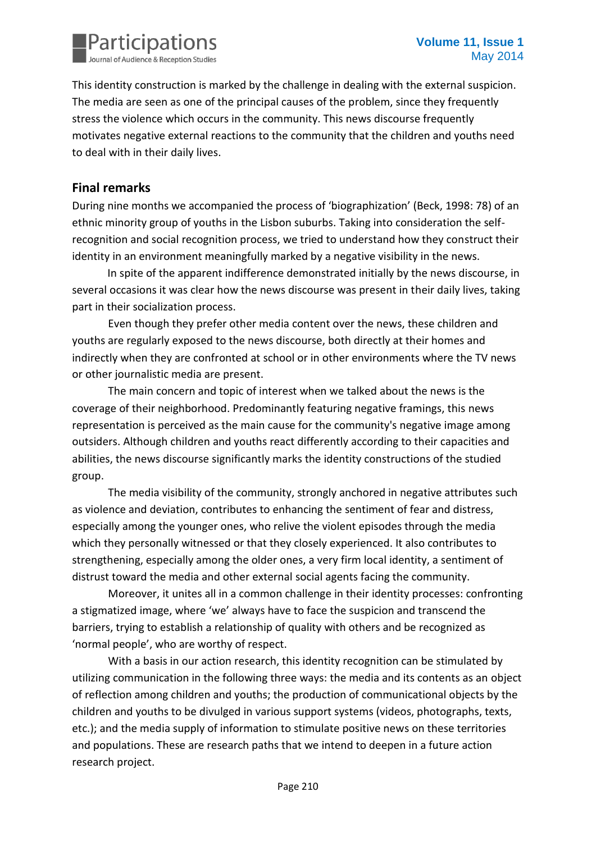

This identity construction is marked by the challenge in dealing with the external suspicion. The media are seen as one of the principal causes of the problem, since they frequently stress the violence which occurs in the community. This news discourse frequently motivates negative external reactions to the community that the children and youths need to deal with in their daily lives.

#### **Final remarks**

During nine months we accompanied the process of 'biographization' (Beck, 1998: 78) of an ethnic minority group of youths in the Lisbon suburbs. Taking into consideration the selfrecognition and social recognition process, we tried to understand how they construct their identity in an environment meaningfully marked by a negative visibility in the news.

In spite of the apparent indifference demonstrated initially by the news discourse, in several occasions it was clear how the news discourse was present in their daily lives, taking part in their socialization process.

Even though they prefer other media content over the news, these children and youths are regularly exposed to the news discourse, both directly at their homes and indirectly when they are confronted at school or in other environments where the TV news or other journalistic media are present.

The main concern and topic of interest when we talked about the news is the coverage of their neighborhood. Predominantly featuring negative framings, this news representation is perceived as the main cause for the community's negative image among outsiders. Although children and youths react differently according to their capacities and abilities, the news discourse significantly marks the identity constructions of the studied group.

The media visibility of the community, strongly anchored in negative attributes such as violence and deviation, contributes to enhancing the sentiment of fear and distress, especially among the younger ones, who relive the violent episodes through the media which they personally witnessed or that they closely experienced. It also contributes to strengthening, especially among the older ones, a very firm local identity, a sentiment of distrust toward the media and other external social agents facing the community.

Moreover, it unites all in a common challenge in their identity processes: confronting a stigmatized image, where 'we' always have to face the suspicion and transcend the barriers, trying to establish a relationship of quality with others and be recognized as 'normal people', who are worthy of respect.

With a basis in our action research, this identity recognition can be stimulated by utilizing communication in the following three ways: the media and its contents as an object of reflection among children and youths; the production of communicational objects by the children and youths to be divulged in various support systems (videos, photographs, texts, etc.); and the media supply of information to stimulate positive news on these territories and populations. These are research paths that we intend to deepen in a future action research project.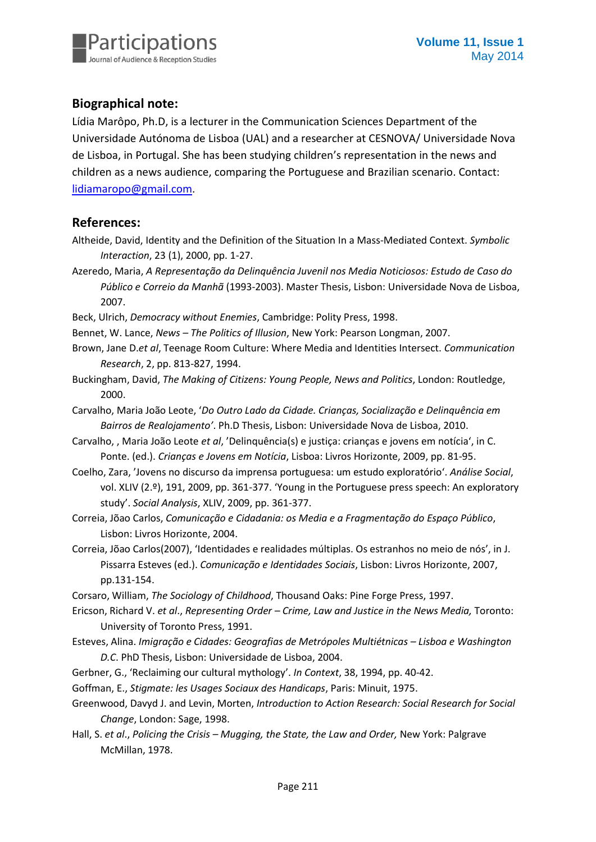

# **Biographical note:**

Lídia Marôpo, Ph.D, is a lecturer in the Communication Sciences Department of the Universidade Autónoma de Lisboa (UAL) and a researcher at CESNOVA/ Universidade Nova de Lisboa, in Portugal. She has been studying children's representation in the news and children as a news audience, comparing the Portuguese and Brazilian scenario. Contact: [lidiamaropo@gmail.com.](mailto:lidiamaropo@gmail.com)

#### **References:**

- Altheide, David, Identity and the Definition of the Situation In a Mass-Mediated Context. *Symbolic Interaction*, 23 (1), 2000, pp. 1-27.
- Azeredo, Maria, *A Representação da Delinquência Juvenil nos Media Noticiosos: Estudo de Caso do Público e Correio da Manhã* (1993-2003). Master Thesis, Lisbon: Universidade Nova de Lisboa, 2007.
- Beck, Ulrich, *Democracy without Enemies*, Cambridge: Polity Press, 1998.
- Bennet, W. Lance, *News – The Politics of Illusion*, New York: Pearson Longman, 2007.
- Brown, Jane D.*et al*, Teenage Room Culture: Where Media and Identities Intersect. *Communication Research*, 2, pp. 813-827, 1994.
- Buckingham, David, *The Making of Citizens: Young People, News and Politics*, London: Routledge, 2000.
- Carvalho, Maria João Leote, '*Do Outro Lado da Cidade. Crianças, Socialização e Delinquência em Bairros de Realojamento'*. Ph.D Thesis, Lisbon: Universidade Nova de Lisboa, 2010.
- Carvalho, , Maria João Leote *et al*, 'Delinquência(s) e justiça: crianças e jovens em notícia', in C. Ponte. (ed.). *Crianças e Jovens em Notícia*, Lisboa: Livros Horizonte, 2009, pp. 81-95.
- Coelho, Zara, 'Jovens no discurso da imprensa portuguesa: um estudo exploratório'. *Análise Social*, vol. XLIV (2.º), 191, 2009, pp. 361-377. 'Young in the Portuguese press speech: An exploratory study'. *Social Analysis*, XLIV, 2009, pp. 361-377.
- Correia, Jõao Carlos, *Comunicação e Cidadania: os Media e a Fragmentação do Espaço Público*, Lisbon: Livros Horizonte, 2004.
- Correia, Jõao Carlos(2007), 'Identidades e realidades múltiplas. Os estranhos no meio de nós', in J. Pissarra Esteves (ed.). *Comunicação e Identidades Sociais*, Lisbon: Livros Horizonte, 2007, pp.131-154.
- Corsaro, William, *The Sociology of Childhood*, Thousand Oaks: Pine Forge Press, 1997.
- Ericson, Richard V. *et al*., *Representing Order – Crime, Law and Justice in the News Media,* Toronto: University of Toronto Press, 1991.
- Esteves, Alina. *Imigração e Cidades: Geografias de Metrópoles Multiétnicas Lisboa e Washington D.C*. PhD Thesis, Lisbon: Universidade de Lisboa, 2004.
- Gerbner, G., 'Reclaiming our cultural mythology'. *In Context*, 38, 1994, pp. 40-42.
- Goffman, E., *Stigmate: les Usages Sociaux des Handicaps*, Paris: Minuit, 1975.
- Greenwood, Davyd J. and Levin, Morten, *Introduction to Action Research: Social Research for Social Change*, London: Sage, 1998.
- Hall, S. *et al*., *Policing the Crisis – Mugging, the State, the Law and Order,* New York: Palgrave McMillan, 1978.